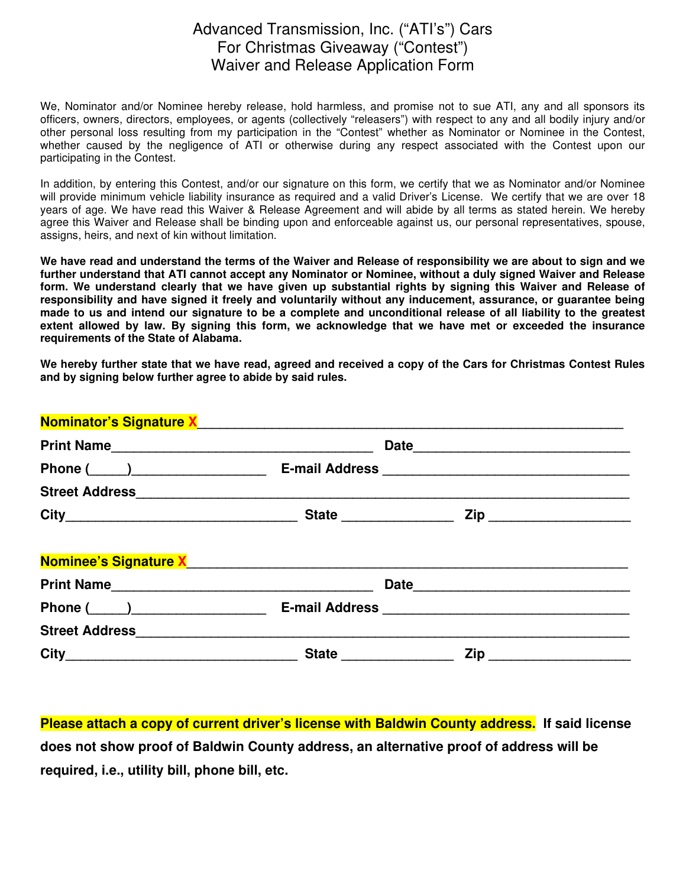## Advanced Transmission, Inc. ("ATI's") Cars For Christmas Giveaway ("Contest") Waiver and Release Application Form

We, Nominator and/or Nominee hereby release, hold harmless, and promise not to sue ATI, any and all sponsors its officers, owners, directors, employees, or agents (collectively "releasers") with respect to any and all bodily injury and/or other personal loss resulting from my participation in the "Contest" whether as Nominator or Nominee in the Contest, whether caused by the negligence of ATI or otherwise during any respect associated with the Contest upon our participating in the Contest.

In addition, by entering this Contest, and/or our signature on this form, we certify that we as Nominator and/or Nominee will provide minimum vehicle liability insurance as required and a valid Driver's License. We certify that we are over 18 years of age. We have read this Waiver & Release Agreement and will abide by all terms as stated herein. We hereby agree this Waiver and Release shall be binding upon and enforceable against us, our personal representatives, spouse, assigns, heirs, and next of kin without limitation.

**We have read and understand the terms of the Waiver and Release of responsibility we are about to sign and we further understand that ATI cannot accept any Nominator or Nominee, without a duly signed Waiver and Release form. We understand clearly that we have given up substantial rights by signing this Waiver and Release of responsibility and have signed it freely and voluntarily without any inducement, assurance, or guarantee being made to us and intend our signature to be a complete and unconditional release of all liability to the greatest extent allowed by law. By signing this form, we acknowledge that we have met or exceeded the insurance requirements of the State of Alabama.** 

**We hereby further state that we have read, agreed and received a copy of the Cars for Christmas Contest Rules and by signing below further agree to abide by said rules.**

| Phone $(\_\_)$ |                        |                               |  |
|----------------|------------------------|-------------------------------|--|
|                |                        |                               |  |
|                | State ________________ | Zip _________________________ |  |

**Please attach a copy of current driver's license with Baldwin County address. If said license does not show proof of Baldwin County address, an alternative proof of address will be required, i.e., utility bill, phone bill, etc.**